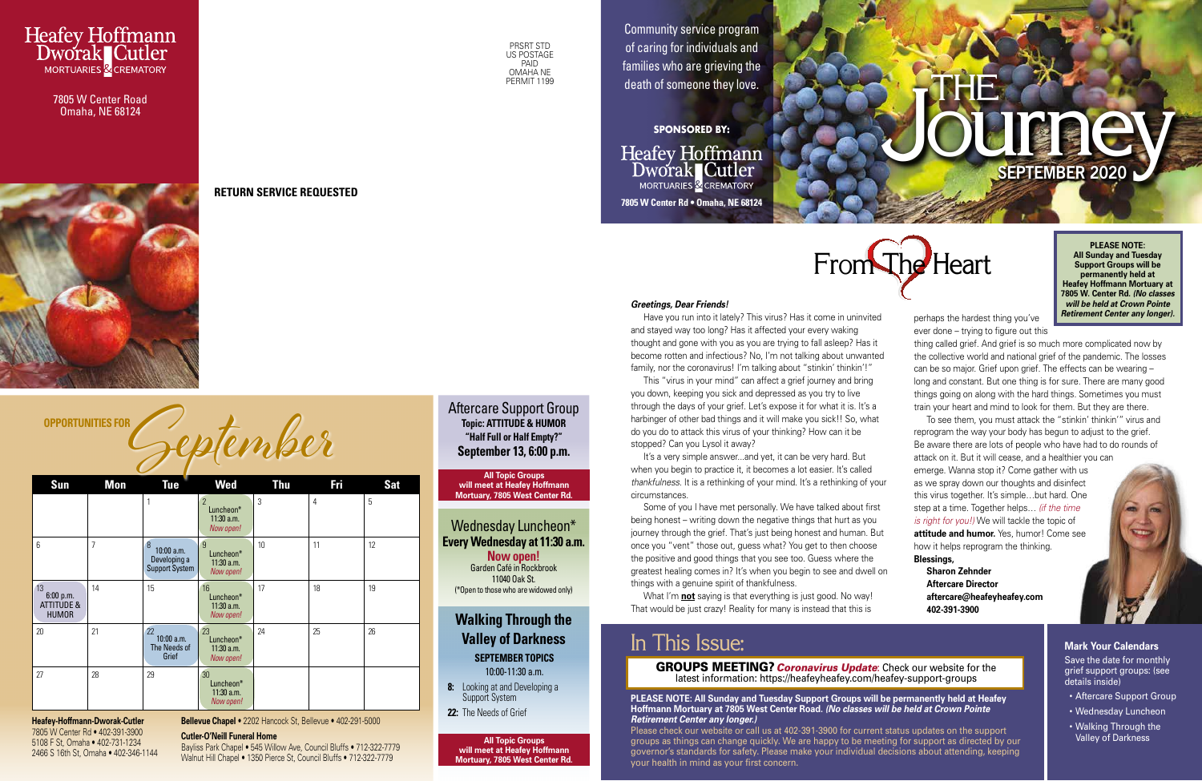**Journey SEPTEMBER 2020** y

### In This Issue:



**8:** Looking at and Developing a Support System **22:** The Needs of Grief

PRSRT STD US POSTAGE PAID OMAHA NE PERMIT<sub>1199</sub>

Aftercare Support Group

Wednesday Luncheon\*

Community service program of caring for individuals and families who are grieving the death of someone they love. THERMIT 1199 death of someone they love. Next and the second theory is the contract of the contract of the contract of the contract of the contract of the contract of the contract of the contract of the contract of the con

> **Walking Through the Valley of Darkness SEPTEMBER TOPICS** 10:00-11:30 a.m.

**Heafey Hoffmann** Dworak Cutler MORTUARIES & CREMATORY **7805 W Center Rd • Omaha, NE 68124**



Have you run into it lately? This virus? Has it come in uninvited and stayed way too long? Has it affected your every waking thought and gone with you as you are trying to fall asleep? Has it become rotten and infectious? No, I'm not talking about unwanted family, nor the coronavirus! I'm talking about "stinkin' thinkin'!"

**SPONSORED BY:**



Omaha, NE 68124



**RETURN SERVICE REQUESTED**

# OPPORTUNITIES FOR Geptember

**Heafey-Hoffmann-Dworak-Cutler** 7805 W Center Rd • 402-391-3900 5108 F St, Omaha • 402-731-1234 2466 S 16th St, Omaha • 402-346-1144

#### *Greetings, Dear Friends!*

It's a very simple answer...and yet, it can be very hard. But when you begin to practice it, it becomes a lot easier. It's called *thankfulness.* It is a rethinking of your mind. It's a rethinking of your circumstances.

This "virus in your mind" can affect a grief journey and bring you down, keeping you sick and depressed as you try to live through the days of your grief. Let's expose it for what it is. It's a harbinger of other bad things and it will make you sick!! So, what do you do to attack this virus of your thinking? How can it be stopped? Can you Lysol it away?

Some of you I have met personally. We have talked about first being honest – writing down the negative things that hurt as you journey through the grief. That's just being honest and human. But once you "vent" those out, guess what? You get to then choose the positive and good things that you see too. Guess where the greatest healing comes in? It's when you begin to see and dwell on things with a genuine spirit of thankfulness.

What I'm **not** saying is that everything is just good. No way! That would be just crazy! Reality for many is instead that this is

> Save the date for monthly grief support groups: (see details inside)

perhaps the hardest thing you've ever done – trying to figure out this

thing called grief. And grief is so much more complicated now by the collective world and national grief of the pandemic. The losses can be so major. Grief upon grief. The effects can be wearing – long and constant. But one thing is for sure. There are many good things going on along with the hard things. Sometimes you must train your heart and mind to look for them. But they are there.

| Sun                                                      | Mon            | <b>Tue</b>                                                 | <b>Wed</b>                                               | <b>Thu</b> | Fri | <b>Sat</b> |
|----------------------------------------------------------|----------------|------------------------------------------------------------|----------------------------------------------------------|------------|-----|------------|
|                                                          |                | 1                                                          | $\overline{2}$<br>Luncheon*<br>$11:30$ a.m.<br>Now open! | 3          | 4   | 5          |
| 6                                                        | $\overline{7}$ | 8<br>$10:00$ a.m.<br>Developing a<br><b>Support System</b> | $\overline{9}$<br>Luncheon*<br>$11:30$ a.m.<br>Now open! | 10         | 11  | 12         |
| 13<br>6:00 p.m.<br><b>ATTITUDE &amp;</b><br><b>HUMOR</b> | 14             | 15                                                         | 16<br>Luncheon*<br>$11:30$ a.m.<br>Now open!             | 17         | 18  | 19         |
| 20                                                       | 21             | 22<br>10:00 a.m.<br>The Needs of<br>Grief                  | 23<br>Luncheon*<br>$11:30$ a.m.<br>Now open!             | 24         | 25  | 26         |
| 27                                                       | 28             | 29                                                         | 30<br>Luncheon*<br>$11:30$ a.m.<br>Now open!             |            |     |            |

To see them, you must attack the "stinkin' thinkin'" virus and reprogram the way your body has begun to adjust to the grief. Be aware there are lots of people who have had to do rounds of attack on it. But it will cease, and a healthier you can emerge. Wanna stop it? Come gather with us as we spray down our thoughts and disinfect this virus together. It's simple…but hard. One step at a time. Together helps… *(if the time is right for you!)* We will tackle the topic of **attitude and humor.** Yes, humor! Come see how it helps reprogram the thinking.

### **Blessings,**

**Sharon Zehnder Aftercare Director aftercare@heafeyheafey.com 402-391-3900**

**Bellevue Chapel** • 2202 Hancock St, Bellevue • 402-291-5000

#### **Cutler-O'Neill Funeral Home**

Bayliss Park Chapel • 545 Willow Ave, Council Bluffs • 712-322-7779 Walnut Hill Chapel • 1350 Pierce St, Council Bluffs • 712-322-7779

**Every Wednesday at 11:30 a.m. Now open!** Garden Café in Rockbrook 11040 Oak St. (\*Open to those who are widowed only)

**Topic: ATTITUDE & HUMOR "Half Full or Half Empty?" September 13, 6:00 p.m.**

**PLEASE NOTE: All Sunday and Tuesday Support Groups will be permanently held at Heafey Hoffmann Mortuary at 7805 W. Center Rd.** *(No classes will be held at Crown Pointe Retirement Center any longer).*

**All Topic Groups will meet at Heafey Hoffmann Mortuary, 7805 West Center Rd.**

**All Topic Groups will meet at Heafey Hoffmann Mortuary, 7805 West Center Rd.**

### **Mark Your Calendars**

- Aftercare Support Group
- Wednesday Luncheon
- Walking Through the Valley of Darkness

#### GROUPS MEETING? *Coronavirus Update*: Check our website for the latest information: https://heafeyheafey.com/heafey-support-groups

**PLEASE NOTE: All Sunday and Tuesday Support Groups will be permanently held at Heafey Hoffmann Mortuary at 7805 West Center Road.** *(No classes will be held at Crown Pointe Retirement Center any longer.)*

Please check our website or call us at 402-391-3900 for current status updates on the support groups as things can change quickly. We are happy to be meeting for support as directed by our governor's standards for safety. Please make your individual decisions about attending, keeping your health in mind as your first concern.